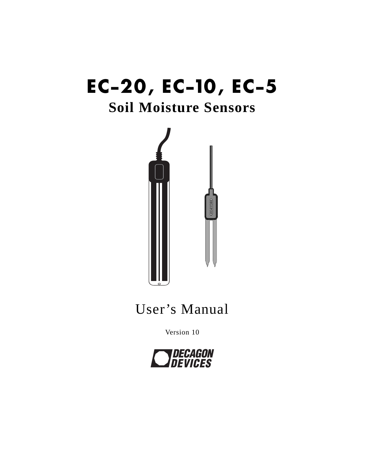# **EC-20, EC-10, EC-5 Soil Moisture Sensors**



## User's Manual

Version 10

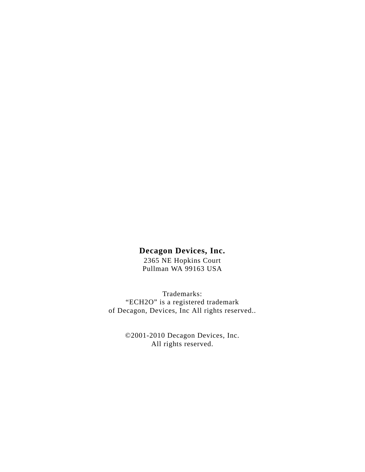#### **Decagon Devices, Inc.**

2365 NE Hopkins Court Pullman WA 99163 USA

Trademarks: "ECH2O" is a registered trademark of Decagon, Devices, Inc All rights reserved..

> ©2001-2010 Decagon Devices, Inc. All rights reserved.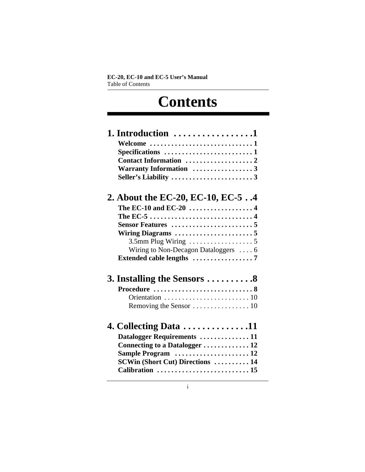## **Contents**

| 1. Introduction $\dots\dots\dots\dots\dots\dots$         |
|----------------------------------------------------------|
| Welcome 1                                                |
| Specifications 1                                         |
| Contact Information 2                                    |
| Warranty Information 3                                   |
|                                                          |
| 2. About the EC-20, EC-10, EC-54                         |
| The EC-10 and EC-20 $\dots\dots\dots\dots\dots\dots4$    |
|                                                          |
| <b>Sensor Features 5</b>                                 |
|                                                          |
| 3.5mm Plug Wiring $\ldots \ldots \ldots \ldots \ldots 5$ |
| Wiring to Non-Decagon Dataloggers  6                     |
|                                                          |
| 3. Installing the Sensors 8                              |
|                                                          |
|                                                          |
|                                                          |
| 4. Collecting Data $\ldots \ldots \ldots \ldots 11$      |
| Datalogger Requirements  11                              |
| Connecting to a Datalogger  12                           |
| Sample Program  12                                       |
| <b>SCWin (Short Cut) Directions  14</b>                  |
| Calibration  15                                          |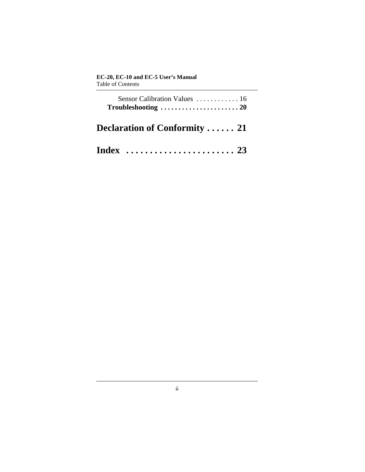| Sensor Calibration Values  16<br>$Troubles hooting \ldots \ldots \ldots \ldots \ldots \ldots \ldots 20$ |  |
|---------------------------------------------------------------------------------------------------------|--|
| <b>Declaration of Conformity  21</b>                                                                    |  |
|                                                                                                         |  |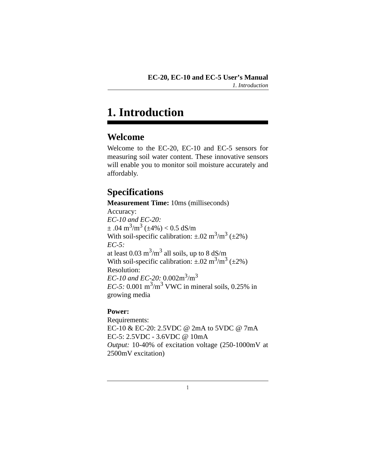## <span id="page-4-0"></span>**1. Introduction**

## <span id="page-4-1"></span>**Welcome**

Welcome to the EC-20, EC-10 and EC-5 sensors for measuring soil water content. These innovative sensors will enable you to monitor soil moisture accurately and affordably.

## <span id="page-4-5"></span><span id="page-4-2"></span>**Specifications**

<span id="page-4-3"></span>**Measurement Time:** 10ms (milliseconds) Accuracy: *EC-10 and EC-20:*  $\pm .04$  m<sup>3</sup>/m<sup>3</sup> ( $\pm$ 4%) < 0.5 dS/m With soil-specific calibration:  $\pm .02 \text{ m}^3/\text{m}^3$  ( $\pm 2\%$ ) *EC-5:*  at least  $0.03 \text{ m}^3/\text{m}^3$  all soils, up to 8 dS/m With soil-specific calibration:  $\pm .02 \text{ m}^3/\text{m}^3$  ( $\pm 2\%$ ) Resolution: *EC-10 and EC-20:* 0.002m3/m3  $EC$ -5: 0.001 m<sup>3</sup>/m<sup>3</sup> VWC in mineral soils, 0.25% in growing media

#### <span id="page-4-4"></span>**Power:**

Requirements: EC-10 & EC-20: 2.5VDC @ 2mA to 5VDC @ 7mA EC-5: 2.5VDC - 3.6VDC @ 10mA *Output:* 10-40% of excitation voltage (250-1000mV at 2500mV excitation)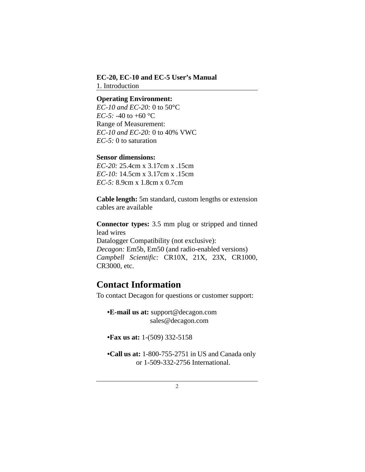#### **EC-20, EC-10 and EC-5 User's Manual** 1. Introduction

#### **Operating Environment:**

<span id="page-5-4"></span>*EC-10 and EC-20:* 0 to 50°C *EC-5:* -40 to +60 °C Range of Measurement: *EC-10 and EC-20:* 0 to 40% VWC *EC-5:* 0 to saturation

#### **Sensor dimensions:**

*EC-20:* 25.4cm x 3.17cm x .15cm *EC-10:* 14.5cm x 3.17cm x .15cm *EC-5:* 8.9cm x 1.8cm x 0.7cm

**Cable length:** 5m standard, custom lengths or extension cables are available

<span id="page-5-2"></span>**Connector types:** 3.5 mm plug or stripped and tinned lead wires Datalogger Compatibility (not exclusive): *Decagon:* Em5b, Em50 (and radio-enabled versions) *Campbell Scientific:* CR10X, 21X, 23X, CR1000, CR3000, etc.

### <span id="page-5-1"></span><span id="page-5-0"></span>**Contact Information**

To contact Decagon for questions or customer support:

<span id="page-5-3"></span>**•E-mail us at:** support@decagon.com sales@decagon.com

**•Fax us at:** 1-(509) 332-5158

**•Call us at:** 1-800-755-2751 in US and Canada only or 1-509-332-2756 International.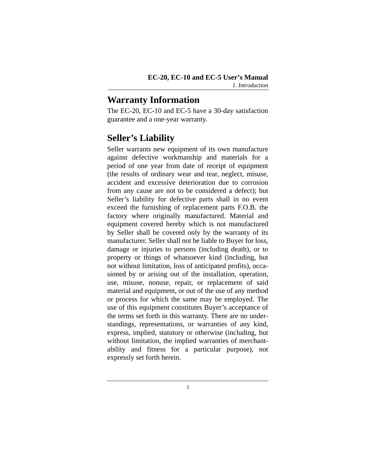### <span id="page-6-3"></span><span id="page-6-0"></span>**Warranty Information**

The EC-20, EC-10 and EC-5 have a 30-day satisfaction guarantee and a one-year warranty.

## <span id="page-6-2"></span><span id="page-6-1"></span>**Seller's Liability**

Seller warrants new equipment of its own manufacture against defective workmanship and materials for a period of one year from date of receipt of equipment (the results of ordinary wear and tear, neglect, misuse, accident and excessive deterioration due to corrosion from any cause are not to be considered a defect); but Seller's liability for defective parts shall in no event exceed the furnishing of replacement parts F.O.B. the factory where originally manufactured. Material and equipment covered hereby which is not manufactured by Seller shall be covered only by the warranty of its manufacturer. Seller shall not be liable to Buyer for loss, damage or injuries to persons (including death), or to property or things of whatsoever kind (including, but not without limitation, loss of anticipated profits), occasioned by or arising out of the installation, operation, use, misuse, nonuse, repair, or replacement of said material and equipment, or out of the use of any method or process for which the same may be employed. The use of this equipment constitutes Buyer's acceptance of the terms set forth in this warranty. There are no understandings, representations, or warranties of any kind, express, implied, statutory or otherwise (including, but without limitation, the implied warranties of merchantability and fitness for a particular purpose), not expressly set forth herein.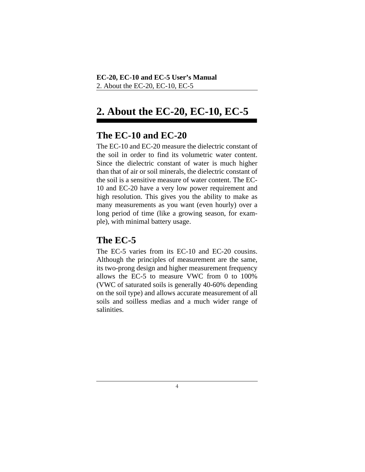## <span id="page-7-0"></span>**2. About the EC-20, EC-10, EC-5**

## <span id="page-7-3"></span><span id="page-7-1"></span>**The EC-10 and EC-20**

The EC-10 and EC-20 measure the dielectric constant of the soil in order to find its volumetric water content. Since the dielectric constant of water is much higher than that of air or soil minerals, the dielectric constant of the soil is a sensitive measure of water content. The EC-10 and EC-20 have a very low power requirement and high resolution. This gives you the ability to make as many measurements as you want (even hourly) over a long period of time (like a growing season, for example), with minimal battery usage.

## <span id="page-7-2"></span>**The EC-5**

The EC-5 varies from its EC-10 and EC-20 cousins. Although the principles of measurement are the same, its two-prong design and higher measurement frequency allows the EC-5 to measure VWC from 0 to 100% (VWC of saturated soils is generally 40-60% depending on the soil type) and allows accurate measurement of all soils and soilless medias and a much wider range of salinities.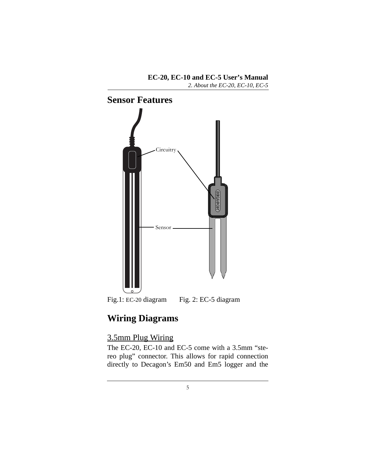*2. About the EC-20, EC-10, EC-5*

<span id="page-8-0"></span>

Fig.1: EC-20 diagram Fig. 2: EC-5 diagram

## <span id="page-8-4"></span><span id="page-8-1"></span>**Wiring Diagrams**

### <span id="page-8-3"></span><span id="page-8-2"></span>3.5mm Plug Wiring

The EC-20, EC-10 and EC-5 come with a 3.5mm "stereo plug" connector. This allows for rapid connection directly to Decagon's Em50 and Em5 logger and the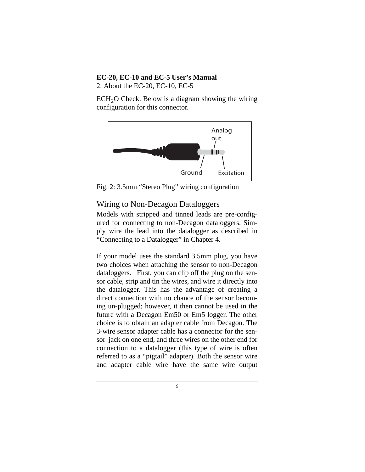#### **EC-20, EC-10 and EC-5 User's Manual** 2. About the EC-20, EC-10, EC-5

 $ECH<sub>2</sub>O$  Check. Below is a diagram showing the wiring configuration for this connector.



Fig. 2: 3.5mm "Stereo Plug" wiring configuration

#### <span id="page-9-0"></span>Wiring to Non-Decagon Dataloggers

Models with stripped and tinned leads are pre-configured for connecting to non-Decagon dataloggers. Simply wire the lead into the datalogger as described in "Connecting to a Datalogger" in Chapter 4.

If your model uses the standard 3.5mm plug, you have two choices when attaching the sensor to non-Decagon dataloggers. First, you can clip off the plug on the sensor cable, strip and tin the wires, and wire it directly into the datalogger. This has the advantage of creating a direct connection with no chance of the sensor becoming un-plugged; however, it then cannot be used in the future with a Decagon Em50 or Em5 logger. The other choice is to obtain an adapter cable from Decagon. The 3-wire sensor adapter cable has a connector for the sensor jack on one end, and three wires on the other end for connection to a datalogger (this type of wire is often referred to as a "pigtail" adapter). Both the sensor wire and adapter cable wire have the same wire output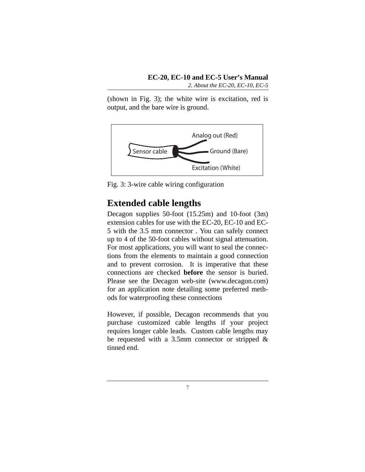(shown in Fig. 3); the white wire is excitation, red is output, and the bare wire is ground.



Fig. 3: 3-wire cable wiring configuration

## <span id="page-10-1"></span><span id="page-10-0"></span>**Extended cable lengths**

Decagon supplies 50-foot (15.25m) and 10-foot (3m) extension cables for use with the EC-20, EC-10 and EC-5 with the 3.5 mm connector . You can safely connect up to 4 of the 50-foot cables without signal attenuation. For most applications, you will want to seal the connections from the elements to maintain a good connection and to prevent corrosion. It is imperative that these connections are checked **before** the sensor is buried. Please see the Decagon web-site (www.decagon.com) for an application note detailing some preferred methods for waterproofing these connections

However, if possible, Decagon recommends that you purchase customized cable lengths if your project requires longer cable leads. Custom cable lengths may be requested with a 3.5mm connector or stripped  $\&$ tinned end.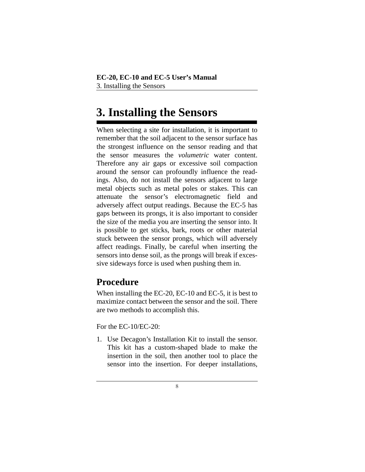## <span id="page-11-2"></span><span id="page-11-0"></span>**3. Installing the Sensors**

<span id="page-11-4"></span>When selecting a site for installation, it is important to remember that the soil adjacent to the sensor surface has the strongest influence on the sensor reading and that the sensor measures the *volumetric* water content. Therefore any air gaps or excessive soil compaction around the sensor can profoundly influence the readings. Also, do not install the sensors adjacent to large metal objects such as metal poles or stakes. This can attenuate the sensor's electromagnetic field and adversely affect output readings. Because the EC-5 has gaps between its prongs, it is also important to consider the size of the media you are inserting the sensor into. It is possible to get sticks, bark, roots or other material stuck between the sensor prongs, which will adversely affect readings. Finally, be careful when inserting the sensors into dense soil, as the prongs will break if excessive sideways force is used when pushing them in.

## <span id="page-11-3"></span><span id="page-11-1"></span>**Procedure**

When installing the EC-20, EC-10 and EC-5, it is best to maximize contact between the sensor and the soil. There are two methods to accomplish this.

For the EC-10/EC-20:

1. Use Decagon's Installation Kit to install the sensor. This kit has a custom-shaped blade to make the insertion in the soil, then another tool to place the sensor into the insertion. For deeper installations,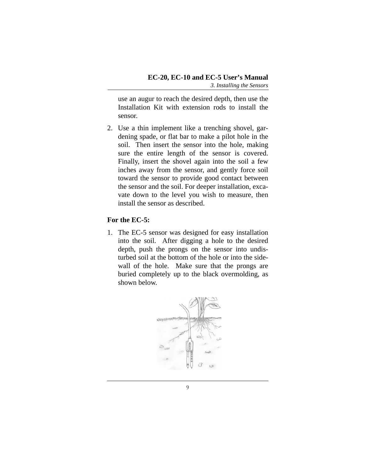use an augur to reach the desired depth, then use the Installation Kit with extension rods to install the sensor.

2. Use a thin implement like a trenching shovel, gardening spade, or flat bar to make a pilot hole in the soil. Then insert the sensor into the hole, making sure the entire length of the sensor is covered. Finally, insert the shovel again into the soil a few inches away from the sensor, and gently force soil toward the sensor to provide good contact between the sensor and the soil. For deeper installation, excavate down to the level you wish to measure, then install the sensor as described.

#### **For the EC-5:**

1. The EC-5 sensor was designed for easy installation into the soil. After digging a hole to the desired depth, push the prongs on the sensor into undisturbed soil at the bottom of the hole or into the sidewall of the hole. Make sure that the prongs are buried completely up to the black overmolding, as shown below.

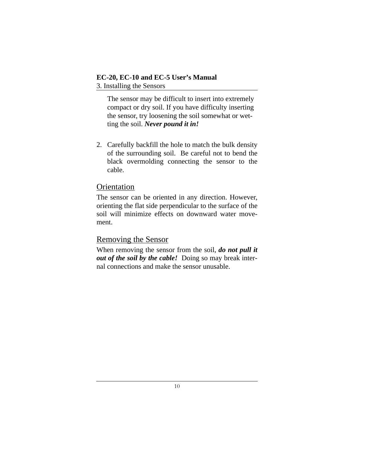#### **EC-20, EC-10 and EC-5 User's Manual** 3. Installing the Sensors

<span id="page-13-2"></span>The sensor may be difficult to insert into extremely compact or dry soil. If you have difficulty inserting the sensor, try loosening the soil somewhat or wetting the soil. *Never pound it in!*

2. Carefully backfill the hole to match the bulk density of the surrounding soil. Be careful not to bend the black overmolding connecting the sensor to the cable.

#### <span id="page-13-4"></span><span id="page-13-0"></span>**Orientation**

The sensor can be oriented in any direction. However, orienting the flat side perpendicular to the surface of the soil will minimize effects on downward water movement.

#### <span id="page-13-3"></span><span id="page-13-1"></span>Removing the Sensor

When removing the sensor from the soil, *do not pull it out of the soil by the cable!* Doing so may break internal connections and make the sensor unusable.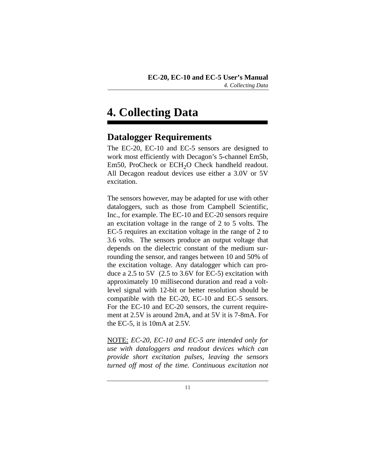## <span id="page-14-0"></span>**4. Collecting Data**

## <span id="page-14-2"></span><span id="page-14-1"></span>**Datalogger Requirements**

The EC-20, EC-10 and EC-5 sensors are designed to work most efficiently with Decagon's 5-channel Em5b, Em50, ProCheck or ECH<sub>2</sub>O Check handheld readout. All Decagon readout devices use either a 3.0V or 5V excitation.

The sensors however, may be adapted for use with other dataloggers, such as those from Campbell Scientific, Inc., for example. The EC-10 and EC-20 sensors require an excitation voltage in the range of 2 to 5 volts. The EC-5 requires an excitation voltage in the range of 2 to 3.6 volts. The sensors produce an output voltage that depends on the dielectric constant of the medium surrounding the sensor, and ranges between 10 and 50% of the excitation voltage. Any datalogger which can produce a 2.5 to 5V (2.5 to 3.6V for EC-5) excitation with approximately 10 millisecond duration and read a voltlevel signal with 12-bit or better resolution should be compatible with the EC-20, EC-10 and EC-5 sensors. For the EC-10 and EC-20 sensors, the current requirement at 2.5V is around 2mA, and at 5V it is 7-8mA. For the EC-5, it is 10mA at 2.5V.

NOTE: *EC-20, EC-10 and EC-5 are intended only for use with dataloggers and readout devices which can provide short excitation pulses, leaving the sensors turned off most of the time. Continuous excitation not*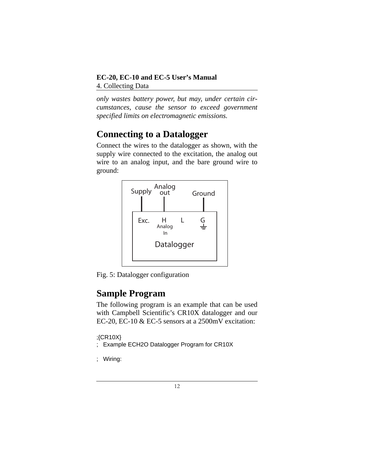#### **EC-20, EC-10 and EC-5 User's Manual** 4. Collecting Data

*only wastes battery power, but may, under certain circumstances, cause the sensor to exceed government specified limits on electromagnetic emissions.* 

## <span id="page-15-2"></span><span id="page-15-0"></span>**Connecting to a Datalogger**

Connect the wires to the datalogger as shown, with the supply wire connected to the excitation, the analog out wire to an analog input, and the bare ground wire to ground:



Fig. 5: Datalogger configuration

## <span id="page-15-3"></span><span id="page-15-1"></span>**Sample Program**

The following program is an example that can be used with Campbell Scientific's CR10X datalogger and our EC-20, EC-10 & EC-5 sensors at a 2500mV excitation:

```
;{CR10X}
```

```
; Example ECH2O Datalogger Program for CR10X
```
; Wiring: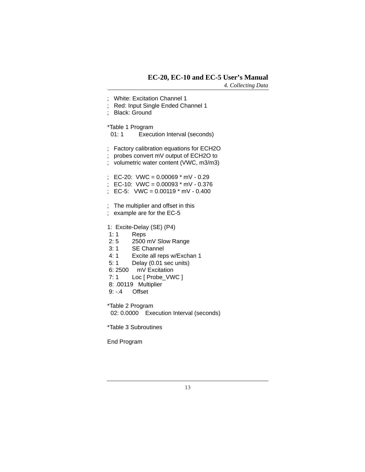*4. Collecting Data*

|                           | <b>White: Excitation Channel 1</b><br>Red: Input Single Ended Channel 1<br><b>Black: Ground</b>                                                                                                                                                               |
|---------------------------|---------------------------------------------------------------------------------------------------------------------------------------------------------------------------------------------------------------------------------------------------------------|
|                           | *Table 1 Program<br>01:1<br>Execution Interval (seconds)                                                                                                                                                                                                      |
| ;                         | Factory calibration equations for ECH2O<br>probes convert mV output of ECH2O to<br>volumetric water content (VWC, m3/m3)                                                                                                                                      |
| ;<br>$\vdots$<br>$\vdots$ | EC-20: VWC = $0.00069$ * mV - 0.29<br>EC-10: VWC = $0.00093$ * mV - $0.376$<br>EC-5: VWC = $0.00119$ * mV - $0.400$                                                                                                                                           |
| $\frac{1}{2}$             | The multiplier and offset in this<br>example are for the EC-5                                                                                                                                                                                                 |
| 5:1<br>7:1                | 1: Excite-Delay (SE) (P4)<br>1:1<br>Reps<br>2:5<br>2500 mV Slow Range<br>3:1<br><b>SE Channel</b><br>4:1<br>Excite all reps w/Exchan 1<br>Delay (0.01 sec units)<br>6:2500<br>mV Excitation<br>Loc [ Probe_VWC ]<br>8: .00119 Multiplier<br>$9: -4$<br>Offset |
|                           | *Table 2 Program<br>02: 0.0000 Execution Interval (seconds)                                                                                                                                                                                                   |
|                           | *Table 3 Subroutines                                                                                                                                                                                                                                          |

End Program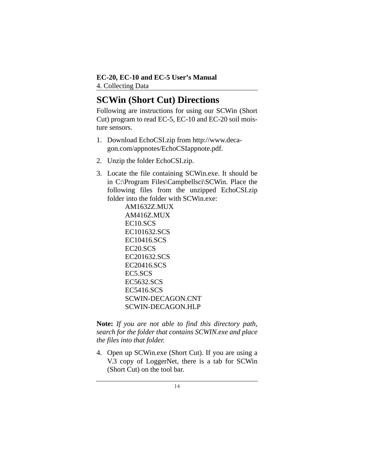## <span id="page-17-1"></span><span id="page-17-0"></span>**SCWin (Short Cut) Directions**

Following are instructions for using our SCWin (Short Cut) program to read EC-5, EC-10 and EC-20 soil moisture sensors.

- 1. Download EchoCSI.zip from http://www.decagon.com/appnotes/EchoCSIappnote.pdf.
- 2. Unzip the folder EchoCSI.zip.
- 3. Locate the file containing SCWin.exe. It should be in C:\Program Files\Campbellsci\SCWin. Place the following files from the unzipped EchoCSI.zip folder into the folder with SCWin exe:

AM1632Z.MUX AM416Z.MUX EC10.SCS EC101632.SCS EC10416.SCS EC20.SCS EC201632.SCS EC20416.SCS EC5.SCS EC5632.SCS EC5416.SCS SCWIN-DECAGON.CNT SCWIN-DECAGON.HLP

**Note:** *If you are not able to find this directory path, search for the folder that contains SCWIN.exe and place the files into that folder.*

4. Open up SCWin.exe (Short Cut). If you are using a V.3 copy of LoggerNet, there is a tab for SCWin (Short Cut) on the tool bar.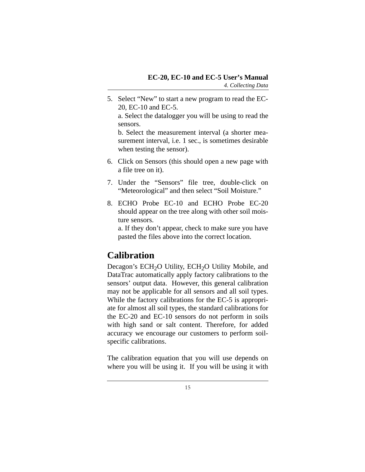- 5. Select "New" to start a new program to read the EC-20, EC-10 and EC-5. a. Select the datalogger you will be using to read the sensors. b. Select the measurement interval (a shorter measurement interval, i.e. 1 sec., is sometimes desirable when testing the sensor).
- 6. Click on Sensors (this should open a new page with a file tree on it).
- 7. Under the "Sensors" file tree, double-click on "Meteorological" and then select "Soil Moisture."
- 8. ECHO Probe EC-10 and ECHO Probe EC-20 should appear on the tree along with other soil moisture sensors.

a. If they don't appear, check to make sure you have pasted the files above into the correct location.

## <span id="page-18-1"></span><span id="page-18-0"></span>**Calibration**

Decagon's ECH<sub>2</sub>O Utility, ECH<sub>2</sub>O Utility Mobile, and DataTrac automatically apply factory calibrations to the sensors' output data. However, this general calibration may not be applicable for all sensors and all soil types. While the factory calibrations for the EC-5 is appropriate for almost all soil types, the standard calibrations for the EC-20 and EC-10 sensors do not perform in soils with high sand or salt content. Therefore, for added accuracy we encourage our customers to perform soilspecific calibrations.

The calibration equation that you will use depends on where you will be using it. If you will be using it with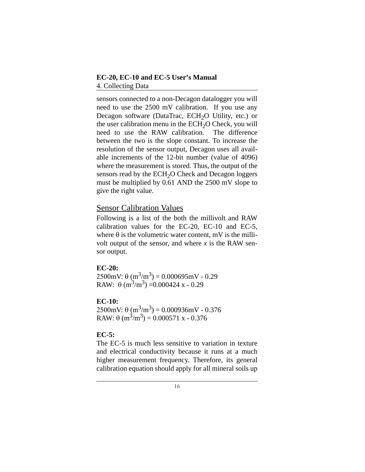#### **EC-20, EC-10 and EC-5 User's Manual** 4. Collecting Data

sensors connected to a non-Decagon datalogger you will need to use the 2500 mV calibration. If you use any Decagon software (DataTrac, ECH<sub>2</sub>O Utility, etc.) or the user calibration menu in the  $ECH<sub>2</sub>O$  Check, you will<br>need to use the RAW calibration. The difference need to use the  $RAW$  calibration. between the two is the slope constant. To increase the resolution of the sensor output, Decagon uses all available increments of the 12-bit number (value of 4096) where the measurement is stored. Thus, the output of the sensors read by the  $ECH<sub>2</sub>O$  Check and Decagon loggers must be multiplied by 0.61 AND the 2500 mV slope to give the right value.

#### <span id="page-19-0"></span>Sensor Calibration Values

Following is a list of the both the millivolt and RAW calibration values for the EC-20, EC-10 and EC-5, where  $\theta$  is the volumetric water content, mV is the millivolt output of the sensor, and where  $x$  is the RAW sensor output.

#### <span id="page-19-1"></span>**EC-20:**

 $2500$ mV:  $\theta$  (m<sup>3</sup>/m<sup>3</sup>) = 0.000695mV - 0.29 RAW:  $\theta$  (m<sup>3</sup>/m<sup>3</sup>) = 0.000424 x - 0.29

#### **EC-10:**

 $2500$ mV:  $\theta$  (m<sup>3</sup>/m<sup>3</sup>) = 0.000936mV - 0.376 RAW:  $\theta$  (m<sup>3</sup>/m<sup>3</sup>) = 0.000571 x - 0.376

#### <span id="page-19-2"></span>**EC-5:**

The EC-5 is much less sensitive to variation in texture and electrical conductivity because it runs at a much higher measurement frequency. Therefore, its general calibration equation should apply for all mineral soils up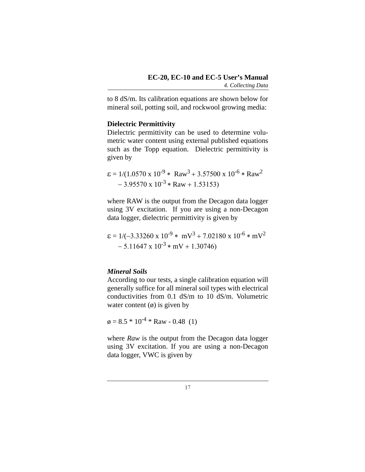to 8 dS/m. Its calibration equations are shown below for mineral soil, potting soil, and rockwool growing media:

#### <span id="page-20-1"></span>**Dielectric Permittivity**

Dielectric permittivity can be used to determine volumetric water content using external published equations such as the Topp equation. Dielectric permittivity is given by

$$
\varepsilon = 1/(1.0570 \text{ x } 10^{-9} * \text{ Raw}^3 + 3.57500 \text{ x } 10^{-6} * \text{ Raw}^2 - 3.95570 \text{ x } 10^{-3} * \text{ Raw} + 1.53153)
$$

where RAW is the output from the Decagon data logger using 3V excitation. If you are using a non-Decagon data logger, dielectric permittivity is given by

$$
\varepsilon = 1/(-3.33260 \text{ x } 10^{-9} * \text{ mV}^3 + 7.02180 \text{ x } 10^{-6} * \text{ mV}^2 - 5.11647 \text{ x } 10^{-3} * \text{ mV} + 1.30746)
$$

#### <span id="page-20-0"></span>*Mineral Soils*

According to our tests, a single calibration equation will generally suffice for all mineral soil types with electrical conductivities from 0.1 dS/m to 10 dS/m. Volumetric water content  $(\emptyset)$  is given by

$$
\varphi = 8.5 * 10^{-4} * Raw - 0.48
$$
 (1)

where *Raw* is the output from the Decagon data logger using 3V excitation. If you are using a non-Decagon data logger, VWC is given by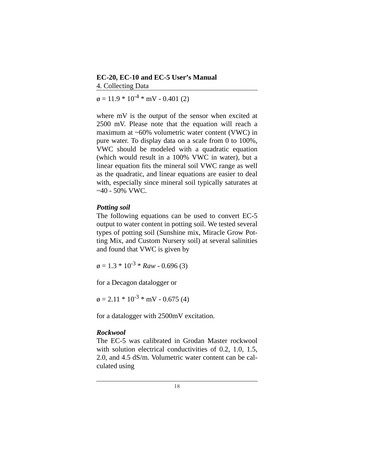#### **EC-20, EC-10 and EC-5 User's Manual** 4. Collecting Data

 $\varphi = 11.9 * 10^{-4} * mV - 0.401$  (2)

where mV is the output of the sensor when excited at 2500 mV. Please note that the equation will reach a maximum at ~60% volumetric water content (VWC) in pure water. To display data on a scale from 0 to 100%, VWC should be modeled with a quadratic equation (which would result in a 100% VWC in water), but a linear equation fits the mineral soil VWC range as well as the quadratic, and linear equations are easier to deal with, especially since mineral soil typically saturates at  $-40 - 50\%$  VWC.

#### <span id="page-21-0"></span>*Potting soil*

The following equations can be used to convert EC-5 output to water content in potting soil. We tested several types of potting soil (Sunshine mix, Miracle Grow Potting Mix, and Custom Nursery soil) at several salinities and found that VWC is given by

 $\varphi = 1.3 * 10^{-3} * Raw - 0.696(3)$ 

for a Decagon datalogger or

 $\varphi = 2.11 * 10^{-3} * mV - 0.675(4)$ 

for a datalogger with 2500mV excitation.

#### <span id="page-21-1"></span>*Rockwool*

The EC-5 was calibrated in Grodan Master rockwool with solution electrical conductivities of 0.2, 1.0, 1.5, 2.0, and 4.5 dS/m. Volumetric water content can be calculated using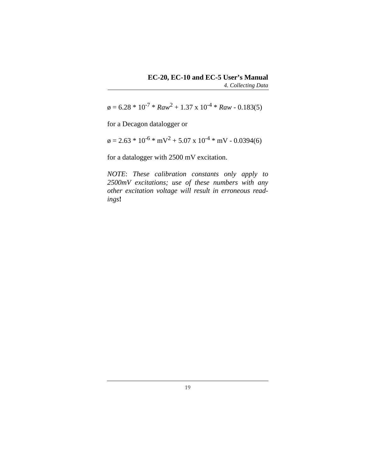$\varphi = 6.28 * 10^{-7} * Raw^2 + 1.37 \times 10^{-4} * Raw - 0.183(5)$ 

for a Decagon datalogger or

 $\varphi = 2.63 * 10^{-6} * mV^2 + 5.07 \times 10^{-4} * mV - 0.0394(6)$ 

for a datalogger with 2500 mV excitation.

*NOTE*: *These calibration constants only apply to 2500mV excitations; use of these numbers with any other excitation voltage will result in erroneous readings***!**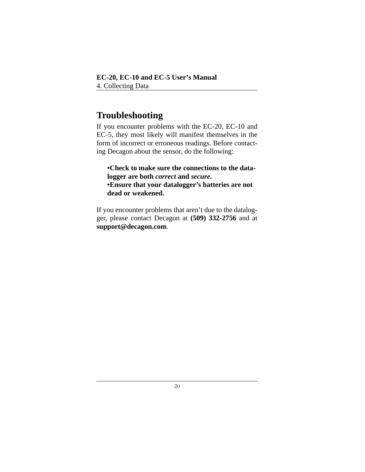## <span id="page-23-1"></span><span id="page-23-0"></span>**Troubleshooting**

If you encounter problems with the EC-20, EC-10 and EC-5, they most likely will manifest themselves in the form of incorrect or erroneous readings. Before contacting Decagon about the sensor, do the following:

**•Check to make sure the connections to the datalogger are both** *correct* **and** *secure***. •Ensure that your datalogger's batteries are not dead or weakened.**

If you encounter problems that aren't due to the datalogger, please contact Decagon at **(509) 332-2756** and at **support@decagon.com**.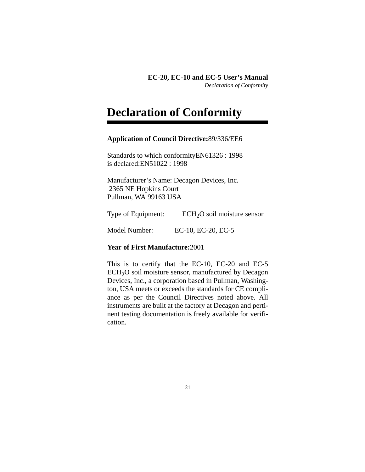## <span id="page-24-1"></span><span id="page-24-0"></span>**Declaration of Conformity**

#### **Application of Council Directive:**89/336/EE6

Standards to which conformityEN61326 : 1998 is declared:EN51022 : 1998

Manufacturer's Name: Decagon Devices, Inc. 2365 NE Hopkins Court Pullman, WA 99163 USA

Type of Equipment:  $ECH<sub>2</sub>O$  soil moisture sensor

Model Number: EC-10, EC-20, EC-5

#### **Year of First Manufacture:**2001

This is to certify that the EC-10, EC-20 and EC-5 ECH<sub>2</sub>O soil moisture sensor, manufactured by Decagon Devices, Inc., a corporation based in Pullman, Washington, USA meets or exceeds the standards for CE compliance as per the Council Directives noted above. All instruments are built at the factory at Decagon and pertinent testing documentation is freely available for verification.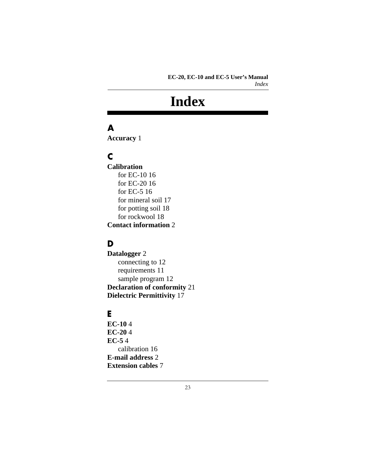## **Index**

## <span id="page-26-0"></span>**A**

**Accuracy** [1](#page-4-3)

## **C**

**Calibration** [for EC-10 16](#page-19-1) [for EC-20 16](#page-19-1) [for EC-5 16](#page-19-2) [for mineral soil 17](#page-20-0) [for potting soil 18](#page-21-0) [for rockwool 18](#page-21-1) **Contact information** [2](#page-5-1)

### **D**

**Datalogger** [2](#page-5-2) [connecting to 12](#page-15-2) [requirements 11](#page-14-2) [sample program 12](#page-15-3) **Declaration of conformity** [21](#page-24-1) **Dielectric Permittivity** [17](#page-20-1)

#### **E**

**EC-10** [4](#page-7-3) **EC-20** [4](#page-7-3) **EC-5** [4](#page-7-3) [calibration 16](#page-19-2) **E-mail address** [2](#page-5-3) **Extension cables** [7](#page-10-1)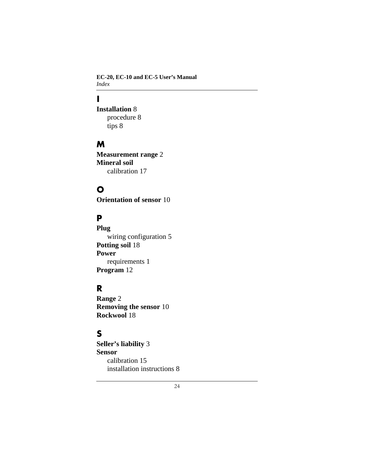**EC-20, EC-10 and EC-5 User's Manual** *Index*

## **I**

**Installation** [8](#page-11-2) [procedure 8](#page-11-3)

[tips 8](#page-11-4)

#### **M**

**Measurement range** [2](#page-5-4) **Mineral soil** [calibration 17](#page-20-0)

### **O**

**Orientation of sensor** [10](#page-13-2)

## **P**

**Plug** [wiring configuration 5](#page-8-3) **Potting soil** [18](#page-21-0) **Power** [requirements 1](#page-4-4) **Program** [12](#page-15-3)

### **R**

**Range** [2](#page-5-4) **Removing the sensor** [10](#page-13-3) **Rockwool** [18](#page-21-1)

### **S**

**Seller's liability** [3](#page-6-2) **Sensor** [calibration 15](#page-18-1) [installation instructions 8](#page-11-2)